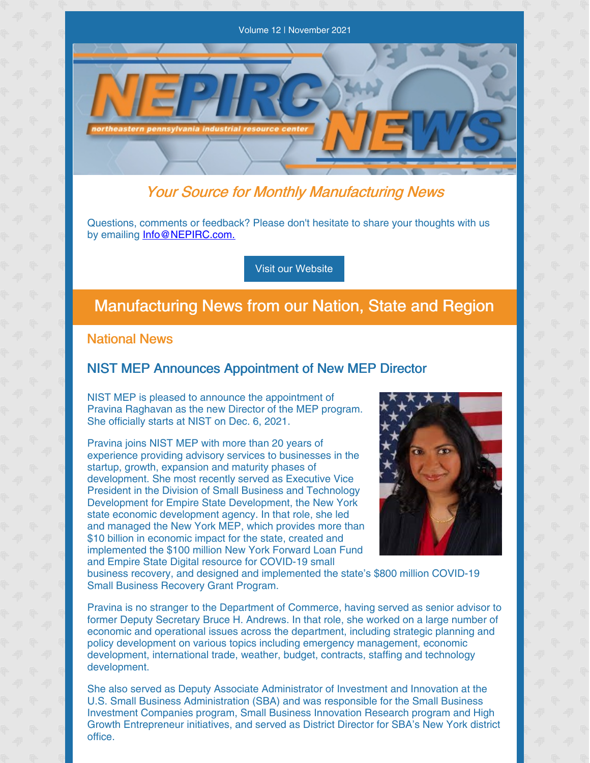#### Volume 12 | November 2021

Your Source for Monthly Manufacturing News

Questions, comments or feedback? Please don't hesitate to share your thoughts with us by emailing [Info@NEPIRC.com.](mailto:info@nepirc.com)

Visit our [Website](http://www.nepirc.com)

### Manufacturing News from our Nation, State and Region

National News

#### NIST MEP Announces Appointment of New MEP Director

NIST MEP is pleased to announce the appointment of Pravina Raghavan as the new Director of the MEP program. She officially starts at NIST on Dec. 6, 2021.

northeastern pennsylvania industrial resource center

Pravina joins NIST MEP with more than 20 years of experience providing advisory services to businesses in the startup, growth, expansion and maturity phases of development. She most recently served as Executive Vice President in the Division of Small Business and Technology Development for Empire State Development, the New York state economic development agency. In that role, she led and managed the New York MEP, which provides more than \$10 billion in economic impact for the state, created and implemented the \$100 million New York Forward Loan Fund and Empire State Digital resource for COVID-19 small



business recovery, and designed and implemented the state's \$800 million COVID-19 Small Business Recovery Grant Program.

Pravina is no stranger to the Department of Commerce, having served as senior advisor to former Deputy Secretary Bruce H. Andrews. In that role, she worked on a large number of economic and operational issues across the department, including strategic planning and policy development on various topics including emergency management, economic development, international trade, weather, budget, contracts, staffing and technology development.

She also served as Deputy Associate Administrator of Investment and Innovation at the U.S. Small Business Administration (SBA) and was responsible for the Small Business Investment Companies program, Small Business Innovation Research program and High Growth Entrepreneur initiatives, and served as District Director for SBA's New York district office.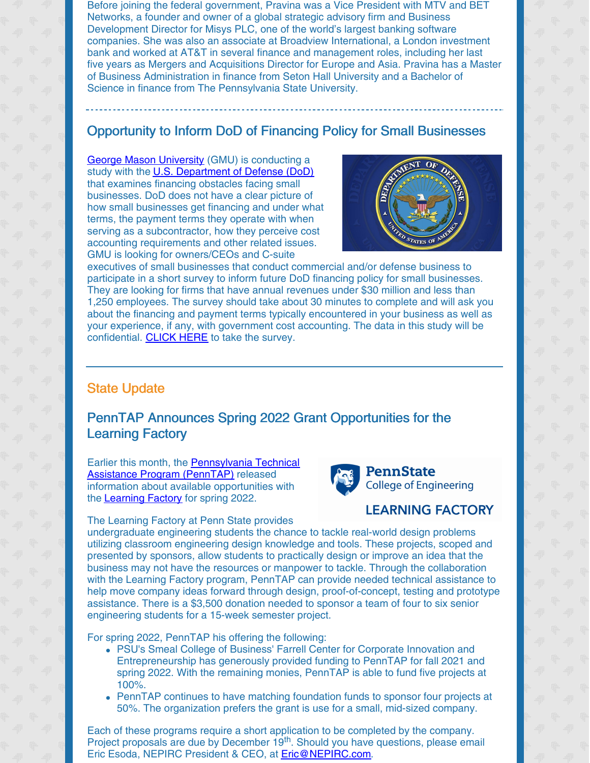Before joining the federal government, Pravina was a Vice President with MTV and BET Networks, a founder and owner of a global strategic advisory firm and Business Development Director for Misys PLC, one of the world's largest banking software companies. She was also an associate at Broadview International, a London investment bank and worked at AT&T in several finance and management roles, including her last five years as Mergers and Acquisitions Director for Europe and Asia. Pravina has a Master of Business Administration in finance from Seton Hall University and a Bachelor of Science in finance from The Pennsylvania State University.

### Opportunity to Inform DoD of Financing Policy for Small Businesses

George Mason [University](https://www2.gmu.edu/) (GMU) is conducting a study with the U.S. [Department](https://www.defense.gov/) of Defense (DoD) that examines financing obstacles facing small businesses. DoD does not have a clear picture of how small businesses get financing and under what terms, the payment terms they operate with when serving as a subcontractor, how they perceive cost accounting requirements and other related issues. GMU is looking for owners/CEOs and C-suite



executives of small businesses that conduct commercial and/or defense business to participate in a short survey to inform future DoD financing policy for small businesses. They are looking for firms that have annual revenues under \$30 million and less than 1,250 employees. The survey should take about 30 minutes to complete and will ask you about the financing and payment terms typically encountered in your business as well as your experience, if any, with government cost accounting. The data in this study will be confidential. [CLICK](https://gmusom.az1.qualtrics.com/jfe/form/SV_ezDOClaFs97I96e?utm_medium=email&utm_source=marketingcloud&utm_campaign=) HERE to take the survey.

#### State Update

#### PennTAP Announces Spring 2022 Grant Opportunities for the Learning Factory

Earlier this month, the [Pennsylvania](https://penntap.psu.edu/) Technical Assistance Program (PennTAP) released information about available opportunities with the [Learning](https://www.lf.psu.edu/) Factory for spring 2022.

The Learning Factory at Penn State provides



#### **LEARNING FACTORY**

undergraduate engineering students the chance to tackle real-world design problems utilizing classroom engineering design knowledge and tools. These projects, scoped and presented by sponsors, allow students to practically design or improve an idea that the business may not have the resources or manpower to tackle. Through the collaboration with the Learning Factory program, PennTAP can provide needed technical assistance to help move company ideas forward through design, proof-of-concept, testing and prototype assistance. There is a \$3,500 donation needed to sponsor a team of four to six senior engineering students for a 15-week semester project.

For spring 2022, PennTAP his offering the following:

- PSU's Smeal College of Business' Farrell Center for Corporate Innovation and Entrepreneurship has generously provided funding to PennTAP for fall 2021 and spring 2022. With the remaining monies, PennTAP is able to fund five projects at 100%.
- PennTAP continues to have matching foundation funds to sponsor four projects at 50%. The organization prefers the grant is use for a small, mid-sized company.

Each of these programs require a short application to be completed by the company. Project proposals are due by December 19<sup>th</sup>. Should you have questions, please email Eric Esoda, NEPIRC President & CEO, at [Eric@NEPIRC.com](mailto:Eric@NEPIRC.com).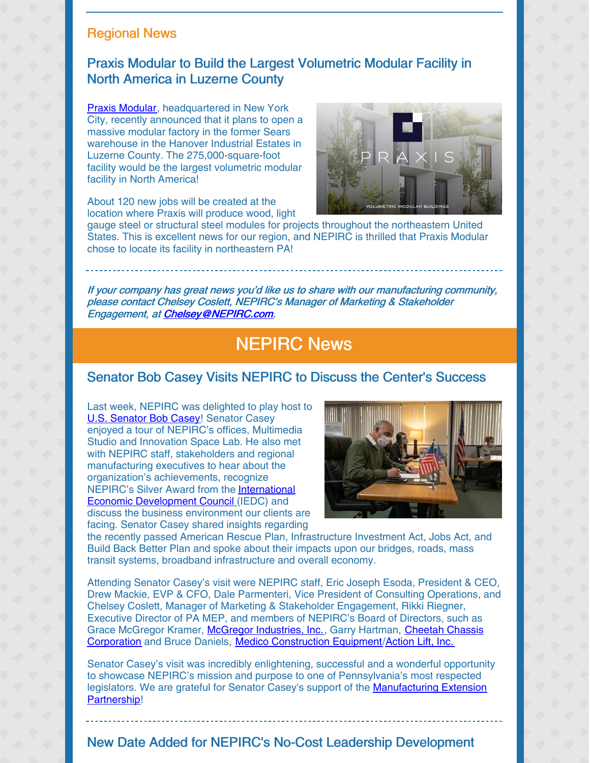#### Regional News

### Praxis Modular to Build the Largest Volumetric Modular Facility in North America in Luzerne County

Praxis [Modular](https://praxismodular.com/), headquartered in New York City, recently announced that it plans to open a massive modular factory in the former Sears warehouse in the Hanover Industrial Estates in Luzerne County. The 275,000-square-foot facility would be the largest volumetric modular facility in North America!

About 120 new jobs will be created at the location where Praxis will produce wood, light



gauge steel or structural steel modules for projects throughout the northeastern United States. This is excellent news for our region, and NEPIRC is thrilled that Praxis Modular chose to locate its facility in northeastern PA!

If your company has great news you'd like us to share with our manufacturing community, please contact Chelsey Coslett, NEPIRC's Manager of Marketing & Stakeholder Engagement, at [Chelsey@NEPIRC.com](mailto:Chelsey@NEPIRC.com).

## NEPIRC News

#### Senator Bob Casey Visits NEPIRC to Discuss the Center's Success

Last week, NEPIRC was delighted to play host to **U.S. [Senator](https://www.casey.senate.gov/) Bob Casey! Senator Casey** enjoyed a tour of NEPIRC's offices, Multimedia Studio and Innovation Space Lab. He also met with NEPIRC staff, stakeholders and regional manufacturing executives to hear about the organization's achievements, recognize NEPIRC's Silver Award from the International Economic [Development](https://www.iedconline.org/) Council (IEDC) and discuss the business environment our clients are facing. Senator Casey shared insights regarding



the recently passed American Rescue Plan, Infrastructure Investment Act, Jobs Act, and Build Back Better Plan and spoke about their impacts upon our bridges, roads, mass transit systems, broadband infrastructure and overall economy.

Attending Senator Casey's visit were NEPIRC staff, Eric Joseph Esoda, President & CEO, Drew Mackie, EVP & CFO, Dale Parmenteri, Vice President of Consulting Operations, and Chelsey Coslett, Manager of Marketing & Stakeholder Engagement, Rikki Riegner, Executive Director of PA MEP, and members of NEPIRC's Board of Directors, such as Grace McGregor Kramer, McGregor [Industries,](https://www.mcgregorindustries.com/) Inc., Garry Hartman, Cheetah Chassis Corporation and Bruce Daniels, Medico [Construction](https://www.medicoce.com/) [Equipment/Action](https://www.cheetahchassis.com/) Lift, Inc.

Senator Casey's visit was incredibly enlightening, successful and a wonderful opportunity to showcase NEPIRC's mission and purpose to one of Pennsylvania's most respected legislators. We are grateful for Senator Casey's support of the [Manufacturing](https://www.nist.gov/mep) Extension Partnership!

#### New Date Added for NEPIRC's No-Cost Leadership Development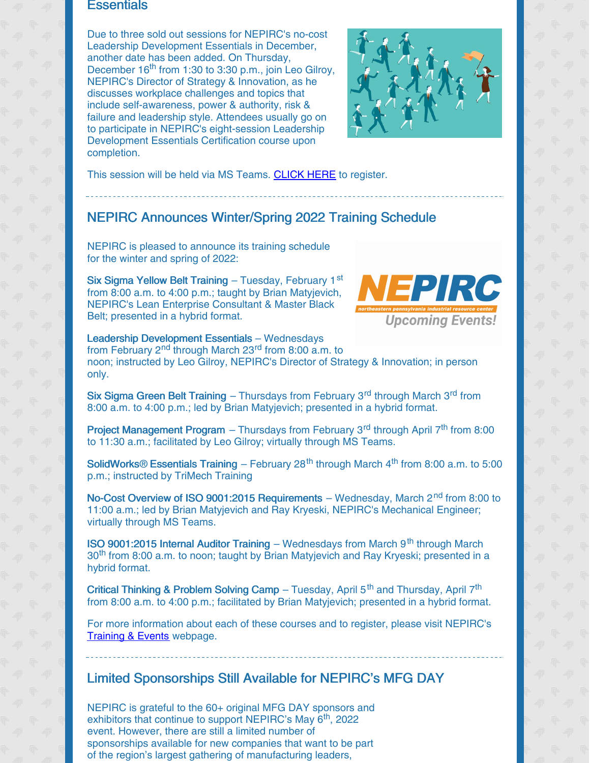#### Essentials

Due to three sold out sessions for NEPIRC's no-cost Leadership Development Essentials in December, another date has been added. On Thursday, December 16<sup>th</sup> from 1:30 to 3:30 p.m., join Leo Gilroy, NEPIRC's Director of Strategy & Innovation, as he discusses workplace challenges and topics that include self-awareness, power & authority, risk & failure and leadership style. Attendees usually go on to participate in NEPIRC's eight-session Leadership Development Essentials Certification course upon completion.



This session will be held via MS Teams. [CLICK](https://www.eventbrite.com/e/217082759377) HERE to register.

#### NEPIRC Announces Winter/Spring 2022 Training Schedule

NEPIRC is pleased to announce its training schedule for the winter and spring of 2022:

Six Sigma Yellow Belt Training - Tuesday, February 1<sup>st</sup> from 8:00 a.m. to 4:00 p.m.; taught by Brian Matyjevich, NEPIRC's Lean Enterprise Consultant & Master Black Belt; presented in a hybrid format.



Leadership Development Essentials – Wednesdays from February 2<sup>nd</sup> through March 23<sup>rd</sup> from 8:00 a.m. to noon; instructed by Leo Gilroy, NEPIRC's Director of Strategy & Innovation; in person only.

Six Sigma Green Belt Training - Thursdays from February 3<sup>rd</sup> through March 3<sup>rd</sup> from 8:00 a.m. to 4:00 p.m.; led by Brian Matyjevich; presented in a hybrid format.

Project Management Program - Thursdays from February 3<sup>rd</sup> through April 7<sup>th</sup> from 8:00 to 11:30 a.m.; facilitated by Leo Gilroy; virtually through MS Teams.

SolidWorks® Essentials Training – February 28<sup>th</sup> through March 4<sup>th</sup> from 8:00 a.m. to 5:00 p.m.; instructed by TriMech Training

No-Cost Overview of ISO 9001:2015 Requirements - Wednesday, March 2<sup>nd</sup> from 8:00 to 11:00 a.m.; led by Brian Matyjevich and Ray Kryeski, NEPIRC's Mechanical Engineer; virtually through MS Teams.

ISO 9001:2015 Internal Auditor Training - Wednesdays from March 9<sup>th</sup> through March 30<sup>th</sup> from 8:00 a.m. to noon; taught by Brian Matyjevich and Ray Kryeski; presented in a hybrid format.

Critical Thinking & Problem Solving Camp - Tuesday, April 5<sup>th</sup> and Thursday, April 7<sup>th</sup> from 8:00 a.m. to 4:00 p.m.; facilitated by Brian Matyjevich; presented in a hybrid format.

For more information about each of these courses and to register, please visit NEPIRC's [Training](https://nepirc.com/nepirc-training-events/) & Events webpage.

#### Limited Sponsorships Still Available for NEPIRC's MFG DAY

NEPIRC is grateful to the 60+ original MFG DAY sponsors and exhibitors that continue to support NEPIRC's May 6<sup>th</sup>, 2022 event. However, there are still a limited number of sponsorships available for new companies that want to be part of the region's largest gathering of manufacturing leaders,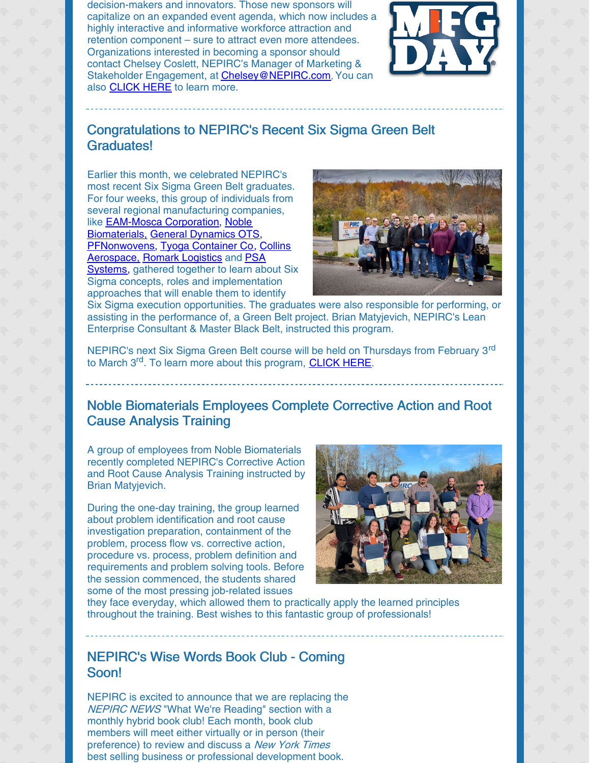decision-makers and innovators. Those new sponsors will capitalize on an expanded event agenda, which now includes a highly interactive and informative workforce attraction and retention component – sure to attract even more attendees. Organizations interested in becoming a sponsor should contact Chelsey Coslett, NEPIRC's Manager of Marketing & Stakeholder Engagement, at **[Chelsey@NEPIRC.com](mailto:Chelsey@NEPIRC.com)**, You can also [CLICK](https://nepirc.com/manufacturing-day-2021/) HERE to learn more.



#### Congratulations to [NEPIRC](https://www.facebook.com/NEPIRC/?__cft__%5B0%5D=AZUOMUX6Rf3yxeDYyA3rw6nWskmBQA_3Zha97S7X7EEPZriNLnY4yNB87vSRosOzfF-b4wAS9Baz0r7kEJJhX-0vMWwxupOAmmObEKRdSqufFt4khuVT5FaVpgJw9CET70rJtYLD73s2ru5qi346HlQ4Udmyhy9jYBs0ogpoby4MaRYh734vVQLpAckyyf4YXoQ&__tn__=kK-R)'s Recent Six Sigma Green Belt Graduates!

Earlier this month, we celebrated NEPIRC's most recent Six Sigma Green Belt graduates. For four weeks, this group of individuals from several regional manufacturing companies, like **[EAM-Mosca](https://www.eammosca.com/) Corporation**, Noble [Biomaterials,](https://noblebiomaterials.com/) General [Dynamics](https://www.gd-ots.com/) OTS, [PFNonwovens,](https://www.collinsaerospace.com/) Tyoga [Container](https://www.tyogacontainer.com/) Co, Collins [Aerospace,](https://psasystems.com/) Romark [Logistics](https://www.romarklogistics.com/) and PSA Systems, gathered together to learn about Six Sigma concepts, roles and implementation approaches that will enable them to identify



Six Sigma execution opportunities. The graduates were also responsible for performing, or assisting in the performance of, a Green Belt project. Brian Matyjevich, NEPIRC's Lean Enterprise Consultant & Master Black Belt, instructed this program.

NEPIRC's next Six Sigma Green Belt course will be held on Thursdays from February 3<sup>rd</sup> to March 3<sup>rd</sup>. To learn more about this program, **[CLICK](https://www.eventbrite.com/e/167778386671) HERE**.

### Noble Biomaterials Employees Complete Corrective Action and Root Cause Analysis Training

A group of employees from Noble Biomaterials recently completed NEPIRC's Corrective Action and Root Cause Analysis Training instructed by Brian Matyjevich.

During the one-day training, the group learned about problem identification and root cause investigation preparation, containment of the problem, process flow vs. corrective action, procedure vs. process, problem definition and requirements and problem solving tools. Before the session commenced, the students shared some of the most pressing job-related issues



they face everyday, which allowed them to practically apply the learned principles throughout the training. Best wishes to this fantastic group of professionals!

#### NEPIRC's Wise Words Book Club - Coming Soon!

NEPIRC is excited to announce that we are replacing the NEPIRC NEWS "What We're Reading" section with a monthly hybrid book club! Each month, book club members will meet either virtually or in person (their preference) to review and discuss a New York Times best selling business or professional development book.